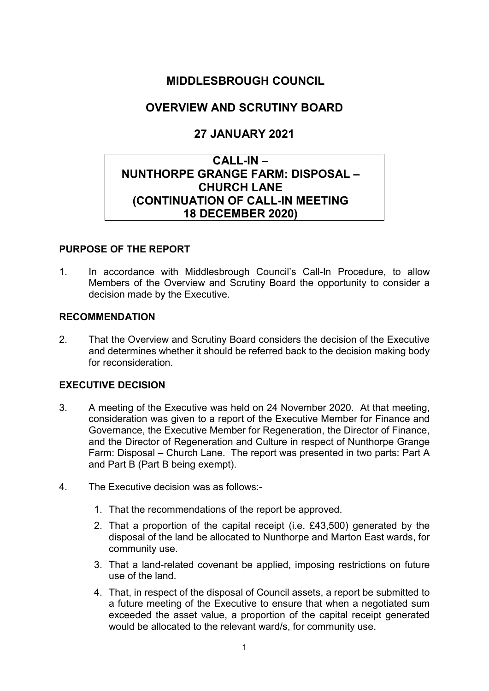# MIDDLESBROUGH COUNCIL

# OVERVIEW AND SCRUTINY BOARD

# 27 JANUARY 2021

# CALL-IN – NUNTHORPE GRANGE FARM: DISPOSAL – CHURCH LANE (CONTINUATION OF CALL-IN MEETING 18 DECEMBER 2020)

### PURPOSE OF THE REPORT

1. In accordance with Middlesbrough Council's Call-In Procedure, to allow Members of the Overview and Scrutiny Board the opportunity to consider a decision made by the Executive.

#### RECOMMENDATION

2. That the Overview and Scrutiny Board considers the decision of the Executive and determines whether it should be referred back to the decision making body for reconsideration.

#### EXECUTIVE DECISION

- 3. A meeting of the Executive was held on 24 November 2020. At that meeting, consideration was given to a report of the Executive Member for Finance and Governance, the Executive Member for Regeneration, the Director of Finance, and the Director of Regeneration and Culture in respect of Nunthorpe Grange Farm: Disposal – Church Lane. The report was presented in two parts: Part A and Part B (Part B being exempt).
- 4. The Executive decision was as follows:-
	- 1. That the recommendations of the report be approved.
	- 2. That a proportion of the capital receipt (i.e. £43,500) generated by the disposal of the land be allocated to Nunthorpe and Marton East wards, for community use.
	- 3. That a land-related covenant be applied, imposing restrictions on future use of the land.
	- 4. That, in respect of the disposal of Council assets, a report be submitted to a future meeting of the Executive to ensure that when a negotiated sum exceeded the asset value, a proportion of the capital receipt generated would be allocated to the relevant ward/s, for community use.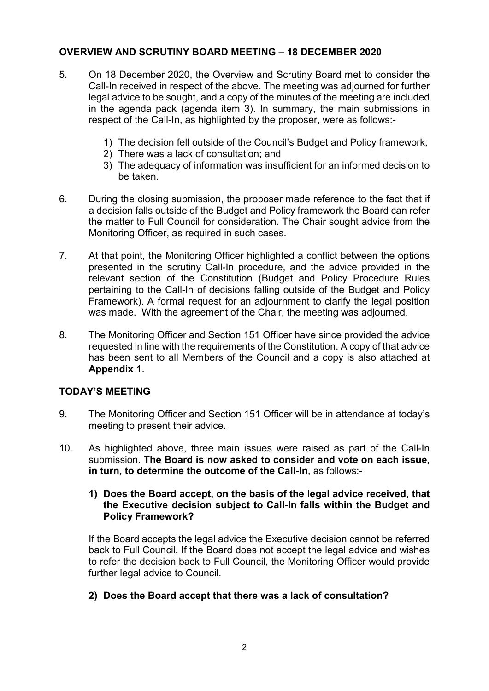### OVERVIEW AND SCRUTINY BOARD MEETING – 18 DECEMBER 2020

- 5. On 18 December 2020, the Overview and Scrutiny Board met to consider the Call-In received in respect of the above. The meeting was adjourned for further legal advice to be sought, and a copy of the minutes of the meeting are included in the agenda pack (agenda item 3). In summary, the main submissions in respect of the Call-In, as highlighted by the proposer, were as follows:-
	- 1) The decision fell outside of the Council's Budget and Policy framework;
	- 2) There was a lack of consultation; and
	- 3) The adequacy of information was insufficient for an informed decision to be taken.
- 6. During the closing submission, the proposer made reference to the fact that if a decision falls outside of the Budget and Policy framework the Board can refer the matter to Full Council for consideration. The Chair sought advice from the Monitoring Officer, as required in such cases.
- 7. At that point, the Monitoring Officer highlighted a conflict between the options presented in the scrutiny Call-In procedure, and the advice provided in the relevant section of the Constitution (Budget and Policy Procedure Rules pertaining to the Call-In of decisions falling outside of the Budget and Policy Framework). A formal request for an adjournment to clarify the legal position was made. With the agreement of the Chair, the meeting was adjourned.
- 8. The Monitoring Officer and Section 151 Officer have since provided the advice requested in line with the requirements of the Constitution. A copy of that advice has been sent to all Members of the Council and a copy is also attached at Appendix 1.

#### TODAY'S MEETING

- 9. The Monitoring Officer and Section 151 Officer will be in attendance at today's meeting to present their advice.
- 10. As highlighted above, three main issues were raised as part of the Call-In submission. The Board is now asked to consider and vote on each issue, in turn, to determine the outcome of the Call-In, as follows:-
	- 1) Does the Board accept, on the basis of the legal advice received, that the Executive decision subject to Call-In falls within the Budget and Policy Framework?

If the Board accepts the legal advice the Executive decision cannot be referred back to Full Council. If the Board does not accept the legal advice and wishes to refer the decision back to Full Council, the Monitoring Officer would provide further legal advice to Council.

2) Does the Board accept that there was a lack of consultation?